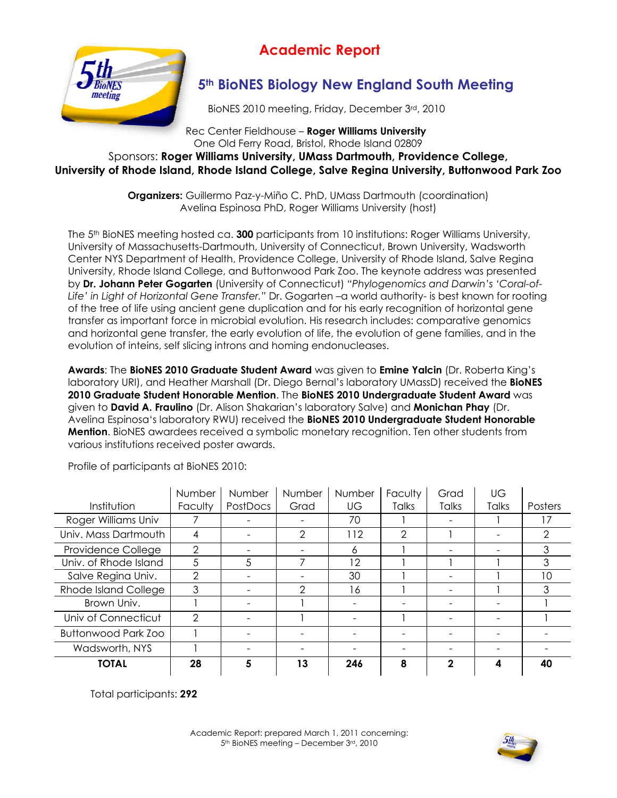

## **Academic Report**

### **5th BioNES Biology New England South Meeting**

BioNES 2010 meeting, Friday, December 3rd, 2010

Rec Center Fieldhouse – **Roger Williams University** One Old Ferry Road, Bristol, Rhode Island 02809

Sponsors: **Roger Williams University, UMass Dartmouth, Providence College, University of Rhode Island, Rhode Island College, Salve Regina University, Buttonwood Park Zoo** 

> **Organizers:** Guillermo Paz-y-Miño C. PhD, UMass Dartmouth (coordination) Avelina Espinosa PhD, Roger Williams University (host)

The 5th BioNES meeting hosted ca. **300** participants from 10 institutions: Roger Williams University, University of Massachusetts-Dartmouth, University of Connecticut, Brown University, Wadsworth Center NYS Department of Health, Providence College, University of Rhode Island, Salve Regina University, Rhode Island College, and Buttonwood Park Zoo. The keynote address was presented by **Dr. Johann Peter Gogarten** (University of Connecticut) *"Phylogenomics and Darwin's 'Coral-of-Life' in Light of Horizontal Gene Transfer."* Dr. Gogarten –a world authority- is best known for rooting of the tree of life using ancient gene duplication and for his early recognition of horizontal gene transfer as important force in microbial evolution. His research includes: comparative genomics and horizontal gene transfer, the early evolution of life, the evolution of gene families, and in the evolution of inteins, self slicing introns and homing endonucleases.

**Awards**: The **BioNES 2010 Graduate Student Award** was given to **Emine Yalcin** (Dr. Roberta King's laboratory URI), and Heather Marshall (Dr. Diego Bernal's laboratory UMassD) received the **BioNES 2010 Graduate Student Honorable Mention**. The **BioNES 2010 Undergraduate Student Award** was given to **David A. Fraulino** (Dr. Alison Shakarian's laboratory Salve) and **Monichan Phay** (Dr. Avelina Espinosa's laboratory RWU) received the **BioNES 2010 Undergraduate Student Honorable Mention**. BioNES awardees received a symbolic monetary recognition. Ten other students from various institutions received poster awards.

|                             | Number         | Number   | <b>Number</b> | Number | Faculty      | Grad         | UG    |         |
|-----------------------------|----------------|----------|---------------|--------|--------------|--------------|-------|---------|
| Institution                 | Faculty        | PostDocs | Grad          | UG     | <b>Talks</b> | <b>Talks</b> | Talks | Posters |
| Roger Williams Univ         |                |          |               | 70     |              |              |       | 17      |
| Univ. Mass Dartmouth        | 4              |          | $\mathcal{P}$ | 112    | 2            |              |       | ↷       |
| Providence College          | $\mathfrak{D}$ |          |               | 6      |              |              |       | 3       |
| Univ. of Rhode Island       | 5              | 5        |               | 12     |              |              |       | 3       |
| Salve Regina Univ.          | 2              |          |               | 30     |              |              |       | 10      |
| <b>Rhode Island College</b> | 3              |          | ◠             | 16     |              |              |       | 3       |
| Brown Univ.                 |                |          |               |        |              |              |       |         |
| Univ of Connecticut         | $\overline{2}$ |          |               |        |              |              |       |         |
| <b>Buttonwood Park Zoo</b>  |                |          |               |        |              |              |       |         |
| Wadsworth, NYS              |                |          |               |        |              |              |       |         |
| <b>TOTAL</b>                | 28             | 5        | 13            | 246    | 8            | າ            |       | 40      |

Profile of participants at BioNES 2010:

Total participants: **292**